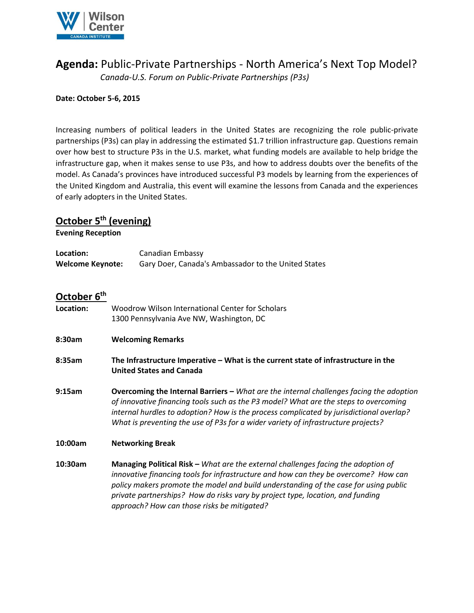

# **Agenda:** Public-Private Partnerships - North America's Next Top Model?

*Canada-U.S. Forum on Public-Private Partnerships (P3s)*

#### **Date: October 5-6, 2015**

Increasing numbers of political leaders in the United States are recognizing the role public-private partnerships (P3s) can play in addressing the estimated \$1.7 trillion infrastructure gap. Questions remain over how best to structure P3s in the U.S. market, what funding models are available to help bridge the infrastructure gap, when it makes sense to use P3s, and how to address doubts over the benefits of the model. As Canada's provinces have introduced successful P3 models by learning from the experiences of the United Kingdom and Australia, this event will examine the lessons from Canada and the experiences of early adopters in the United States.

## **October 5 th (evening)**

**Evening Reception**

| Location:               | Canadian Embassy                                    |
|-------------------------|-----------------------------------------------------|
| <b>Welcome Keynote:</b> | Gary Doer, Canada's Ambassador to the United States |
|                         |                                                     |
|                         |                                                     |
|                         |                                                     |

### **October 6 th**

| Location: | Woodrow Wilson International Center for Scholars<br>1300 Pennsylvania Ave NW, Washington, DC                                                                                                                                                                                                                                                                                                             |  |
|-----------|----------------------------------------------------------------------------------------------------------------------------------------------------------------------------------------------------------------------------------------------------------------------------------------------------------------------------------------------------------------------------------------------------------|--|
| 8:30am    | <b>Welcoming Remarks</b>                                                                                                                                                                                                                                                                                                                                                                                 |  |
| 8:35am    | The Infrastructure Imperative – What is the current state of infrastructure in the<br><b>United States and Canada</b>                                                                                                                                                                                                                                                                                    |  |
| 9:15am    | Overcoming the Internal Barriers - What are the internal challenges facing the adoption<br>of innovative financing tools such as the P3 model? What are the steps to overcoming<br>internal hurdles to adoption? How is the process complicated by jurisdictional overlap?<br>What is preventing the use of P3s for a wider variety of infrastructure projects?                                          |  |
| 10:00am   | <b>Networking Break</b>                                                                                                                                                                                                                                                                                                                                                                                  |  |
| 10:30am   | <b>Managing Political Risk - What are the external challenges facing the adoption of</b><br>innovative financing tools for infrastructure and how can they be overcome? How can<br>policy makers promote the model and build understanding of the case for using public<br>private partnerships? How do risks vary by project type, location, and funding<br>approach? How can those risks be mitigated? |  |